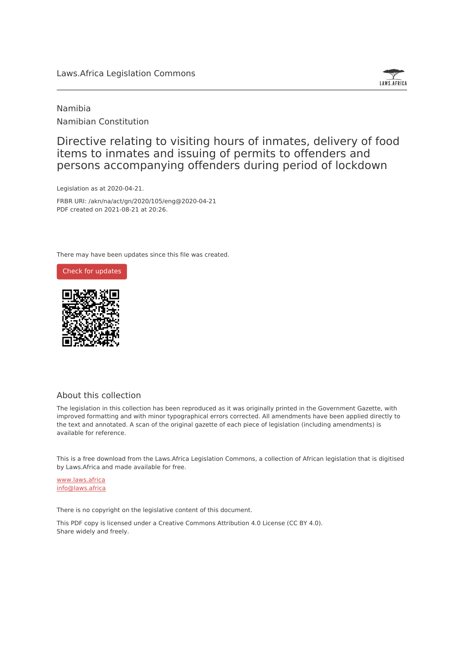### Laws.Africa Legislation Commons



### Namibia Namibian Constitution

Directive relating to visiting hours of inmates, delivery of food items to inmates and issuing of permits to offenders and persons accompanying offenders during period of lockdown

Legislation as at 2020-04-21.

FRBR URI: /akn/na/act/gn/2020/105/eng@2020-04-21 PDF created on 2021-08-21 at 20:26.

There may have been updates since this file was created.





### About this collection

The legislation in this collection has been reproduced as it was originally printed in the Government Gazette, with improved formatting and with minor typographical errors corrected. All amendments have been applied directly to the text and annotated. A scan of the original gazette of each piece of legislation (including amendments) is available for reference.

This is a free download from the Laws.Africa Legislation Commons, a collection of African legislation that is digitised by Laws.Africa and made available for free.

[www.laws.africa](https://www.laws.africa) [info@laws.africa](mailto:info@laws.africa)

There is no copyright on the legislative content of this document.

This PDF copy is licensed under a Creative Commons Attribution 4.0 License (CC BY 4.0). Share widely and freely.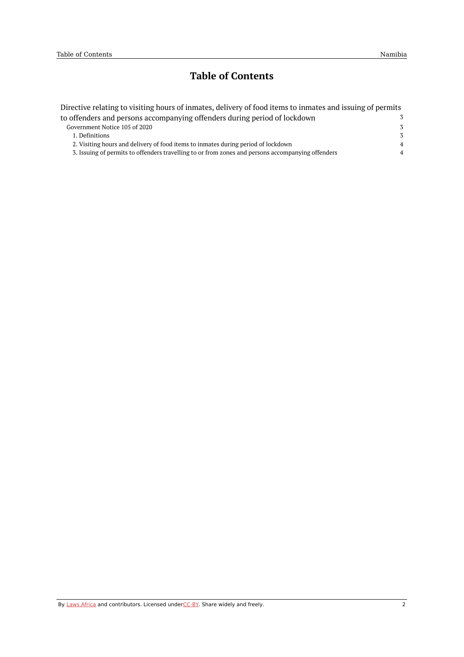## **Table of Contents**

| Directive relating to visiting hours of inmates, delivery of food items to inmates and issuing of permits |                |
|-----------------------------------------------------------------------------------------------------------|----------------|
| to offenders and persons accompanying offenders during period of lockdown                                 | 3              |
| Government Notice 105 of 2020                                                                             | 3              |
| 1. Definitions                                                                                            | $\mathcal{Z}$  |
| 2. Visiting hours and delivery of food items to inmates during period of lockdown                         | $\overline{4}$ |
| 3. Issuing of permits to offenders travelling to or from zones and persons accompanying offenders         | $\overline{4}$ |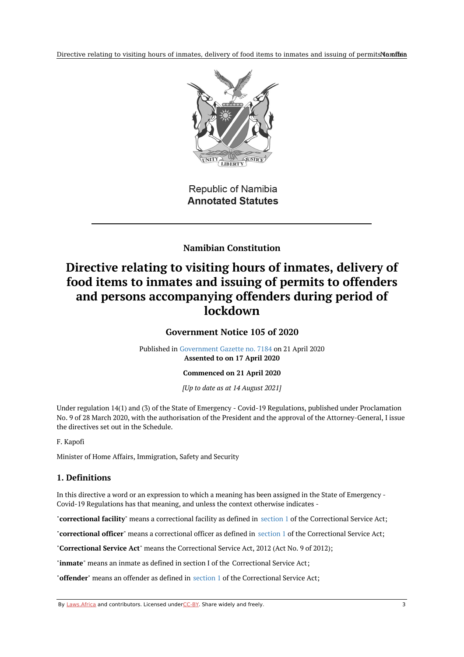Directive relating to visiting hours of inmates, delivery of food items to inmates and issuing of permitsNamffia



**Republic of Namibia Annotated Statutes** 

**Namibian Constitution**

# <span id="page-2-1"></span><span id="page-2-0"></span>**Directive relating to visiting hours of inmates, delivery of food items to inmates and issuing of permits to offenders and persons accompanying offenders during period of lockdown**

**Government Notice 105 of 2020**

Published in [Government](https://commons.laws.africa/akn/na/act/gn/2020/105/media/publication/na-act-gn-2020-105-publication-document.pdf) Gazette no. 7184 on 21 April 2020 **Assented to on 17 April 2020**

**Commenced on 21 April 2020**

*[Up to date as at 14 August 2021]*

Under regulation 14(1) and (3) of the State of Emergency - Covid-19 Regulations, published under Proclamation No. 9 of 28 March 2020, with the authorisation of the President and the approval of the Attorney-General, I issue the directives set out in the Schedule.

F. Kapofi

Minister of Home Affairs, Immigration, Safety and Security

### <span id="page-2-2"></span>**1. Definitions**

In this directive a word or an expression to which a meaning has been assigned in the State of Emergency - Covid-19 Regulations has that meaning, and unless the context otherwise indicates -

"**correctional facility**" means a correctional facility as defined in [section](#page-2-2) 1 of the Correctional Service Act;

"**correctional officer**" means a correctional officer as defined in [section](#page-2-2) 1 of the Correctional Service Act;

"**Correctional Service Act**" means the Correctional Service Act, 2012 (Act No. 9 of 2012);

"**inmate**" means an inmate as defined in section I of the Correctional Service Act;

"**offender**" means an offender as defined in [section](#page-2-2) 1 of the Correctional Service Act;

By [Laws.Africa](https://edit.laws.africa/widgets/pdf-attribution) and contributors. Licensed und[erCC-B](https://edit.laws.africa/widgets/pdf-cc-by)Y. Share widely and freely. 3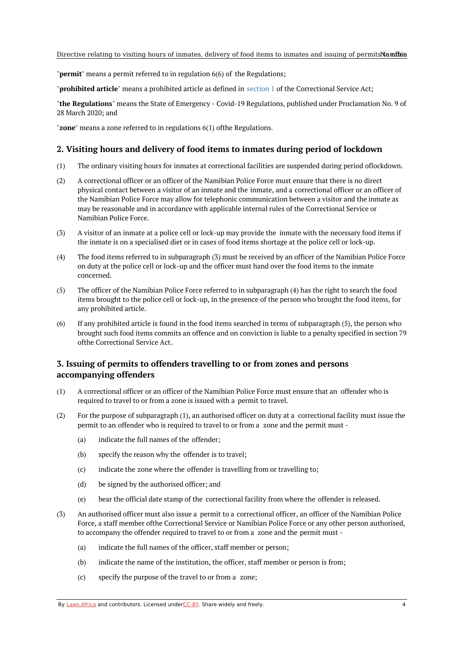"**permit**" means a permit referred to in regulation 6(6) of the Regulations;

"**prohibited article**" means a prohibited article as defined in [section](#page-2-2) 1 of the Correctional Service Act;

"**the Regulations**" means the State of Emergency - Covid-19 Regulations, published under Proclamation No. 9 of 28 March 2020; and

"**zone**" means a zone referred to in regulations 6(1) ofthe Regulations.

#### <span id="page-3-0"></span>**2. Visiting hours and delivery of food items to inmates during period of lockdown**

- (1) The ordinary visiting hours for inmates at correctional facilities are suspended during period oflockdown.
- (2) A correctional officer or an officer of the Namibian Police Force must ensure that there is no direct physical contact between a visitor of an inmate and the inmate, and a correctional officer or an officer of the Namibian Police Force may allow for telephonic communication between a visitor and the inmate as may be reasonable and in accordance with applicable internal rules of the Correctional Service or Namibian Police Force.
- (3) A visitor of an inmate at a police cell or lock-up may provide the inmate with the necessary food items if the inmate is on a specialised diet or in cases of food items shortage at the police cell or lock-up.
- (4) The food items referred to in subparagraph (3) must be received by an officer of the Namibian Police Force on duty at the police cell or lock-up and the officer must hand over the food items to the inmate concerned.
- (5) The officer of the Namibian Police Force referred to in subparagraph (4) has the right to search the food items brought to the police cell or lock-up, in the presence of the person who brought the food items, for any prohibited article.
- (6) If any prohibited article is found in the food items searched in terms of subparagraph (5), the person who brought such food items commits an offence and on conviction is liable to a penalty specified in section 79 ofthe Correctional Service Act.

### <span id="page-3-1"></span>**3. Issuing of permits to offenders travelling to or from zones and persons accompanying offenders**

- (1) A correctional officer or an officer of the Namibian Police Force must ensure that an offender who is required to travel to or from a zone is issued with a permit to travel.
- (2) For the purpose of subparagraph (1), an authorised officer on duty at a correctional facility must issue the permit to an offender who is required to travel to or from a zone and the permit must -
	- (a) indicate the full names of the offender;
	- (b) specify the reason why the offender is to travel;
	- (c) indicate the zone where the offender is travelling from or travelling to;
	- (d) be signed by the authorised officer; and
	- (e) bear the official date stamp of the correctional facility from where the offender is released.
- (3) An authorised officer must also issue a permit to a correctional officer, an officer of the Namibian Police Force, a staff member ofthe Correctional Service or Namibian Police Force or any other person authorised, to accompany the offender required to travel to or from a zone and the permit must -
	- (a) indicate the full names of the officer, staff member or person;
	- (b) indicate the name of the institution, the officer, staff member or person is from;
	- $(c)$ specify the purpose of the travel to or from a zone;

By [Laws.Africa](https://edit.laws.africa/widgets/pdf-attribution) and contributors. Licensed und[erCC-B](https://edit.laws.africa/widgets/pdf-cc-by)Y. Share widely and freely. 4